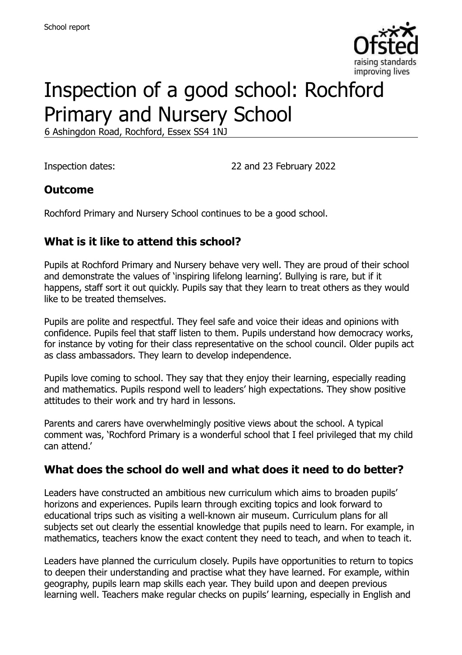

# Inspection of a good school: Rochford Primary and Nursery School

6 Ashingdon Road, Rochford, Essex SS4 1NJ

Inspection dates: 22 and 23 February 2022

#### **Outcome**

Rochford Primary and Nursery School continues to be a good school.

### **What is it like to attend this school?**

Pupils at Rochford Primary and Nursery behave very well. They are proud of their school and demonstrate the values of 'inspiring lifelong learning'. Bullying is rare, but if it happens, staff sort it out quickly. Pupils say that they learn to treat others as they would like to be treated themselves.

Pupils are polite and respectful. They feel safe and voice their ideas and opinions with confidence. Pupils feel that staff listen to them. Pupils understand how democracy works, for instance by voting for their class representative on the school council. Older pupils act as class ambassadors. They learn to develop independence.

Pupils love coming to school. They say that they enjoy their learning, especially reading and mathematics. Pupils respond well to leaders' high expectations. They show positive attitudes to their work and try hard in lessons.

Parents and carers have overwhelmingly positive views about the school. A typical comment was, 'Rochford Primary is a wonderful school that I feel privileged that my child can attend.'

#### **What does the school do well and what does it need to do better?**

Leaders have constructed an ambitious new curriculum which aims to broaden pupils' horizons and experiences. Pupils learn through exciting topics and look forward to educational trips such as visiting a well-known air museum. Curriculum plans for all subjects set out clearly the essential knowledge that pupils need to learn. For example, in mathematics, teachers know the exact content they need to teach, and when to teach it.

Leaders have planned the curriculum closely. Pupils have opportunities to return to topics to deepen their understanding and practise what they have learned. For example, within geography, pupils learn map skills each year. They build upon and deepen previous learning well. Teachers make regular checks on pupils' learning, especially in English and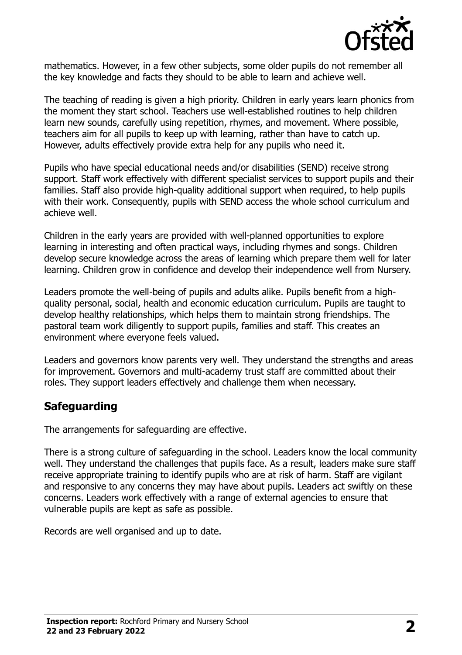

mathematics. However, in a few other subjects, some older pupils do not remember all the key knowledge and facts they should to be able to learn and achieve well.

The teaching of reading is given a high priority. Children in early years learn phonics from the moment they start school. Teachers use well-established routines to help children learn new sounds, carefully using repetition, rhymes, and movement. Where possible, teachers aim for all pupils to keep up with learning, rather than have to catch up. However, adults effectively provide extra help for any pupils who need it.

Pupils who have special educational needs and/or disabilities (SEND) receive strong support. Staff work effectively with different specialist services to support pupils and their families. Staff also provide high-quality additional support when required, to help pupils with their work. Consequently, pupils with SEND access the whole school curriculum and achieve well.

Children in the early years are provided with well-planned opportunities to explore learning in interesting and often practical ways, including rhymes and songs. Children develop secure knowledge across the areas of learning which prepare them well for later learning. Children grow in confidence and develop their independence well from Nursery.

Leaders promote the well-being of pupils and adults alike. Pupils benefit from a highquality personal, social, health and economic education curriculum. Pupils are taught to develop healthy relationships, which helps them to maintain strong friendships. The pastoral team work diligently to support pupils, families and staff. This creates an environment where everyone feels valued.

Leaders and governors know parents very well. They understand the strengths and areas for improvement. Governors and multi-academy trust staff are committed about their roles. They support leaders effectively and challenge them when necessary.

# **Safeguarding**

The arrangements for safeguarding are effective.

There is a strong culture of safeguarding in the school. Leaders know the local community well. They understand the challenges that pupils face. As a result, leaders make sure staff receive appropriate training to identify pupils who are at risk of harm. Staff are vigilant and responsive to any concerns they may have about pupils. Leaders act swiftly on these concerns. Leaders work effectively with a range of external agencies to ensure that vulnerable pupils are kept as safe as possible.

Records are well organised and up to date.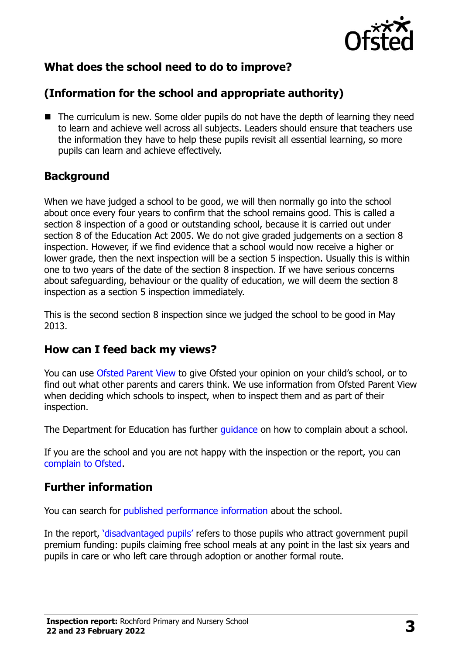

# **What does the school need to do to improve?**

# **(Information for the school and appropriate authority)**

■ The curriculum is new. Some older pupils do not have the depth of learning they need to learn and achieve well across all subjects. Leaders should ensure that teachers use the information they have to help these pupils revisit all essential learning, so more pupils can learn and achieve effectively.

# **Background**

When we have judged a school to be good, we will then normally go into the school about once every four years to confirm that the school remains good. This is called a section 8 inspection of a good or outstanding school, because it is carried out under section 8 of the Education Act 2005. We do not give graded judgements on a section 8 inspection. However, if we find evidence that a school would now receive a higher or lower grade, then the next inspection will be a section 5 inspection. Usually this is within one to two years of the date of the section 8 inspection. If we have serious concerns about safeguarding, behaviour or the quality of education, we will deem the section 8 inspection as a section 5 inspection immediately.

This is the second section 8 inspection since we judged the school to be good in May 2013.

### **How can I feed back my views?**

You can use [Ofsted Parent View](https://parentview.ofsted.gov.uk/) to give Ofsted your opinion on your child's school, or to find out what other parents and carers think. We use information from Ofsted Parent View when deciding which schools to inspect, when to inspect them and as part of their inspection.

The Department for Education has further [guidance](http://www.gov.uk/complain-about-school) on how to complain about a school.

If you are the school and you are not happy with the inspection or the report, you can [complain to Ofsted.](https://www.gov.uk/complain-ofsted-report)

# **Further information**

You can search for [published performance information](http://www.compare-school-performance.service.gov.uk/) about the school.

In the report, '[disadvantaged pupils](http://www.gov.uk/guidance/pupil-premium-information-for-schools-and-alternative-provision-settings)' refers to those pupils who attract government pupil premium funding: pupils claiming free school meals at any point in the last six years and pupils in care or who left care through adoption or another formal route.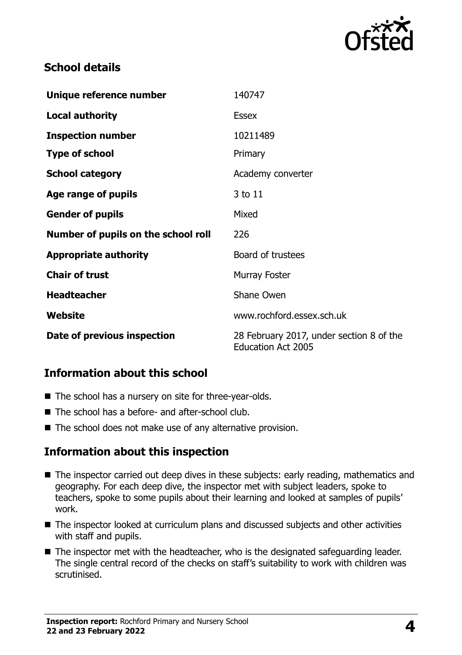

# **School details**

| Unique reference number             | 140747                                                                |
|-------------------------------------|-----------------------------------------------------------------------|
| <b>Local authority</b>              | <b>Essex</b>                                                          |
| <b>Inspection number</b>            | 10211489                                                              |
| <b>Type of school</b>               | Primary                                                               |
| <b>School category</b>              | Academy converter                                                     |
| Age range of pupils                 | 3 to 11                                                               |
| <b>Gender of pupils</b>             | Mixed                                                                 |
| Number of pupils on the school roll | 226                                                                   |
| <b>Appropriate authority</b>        | Board of trustees                                                     |
| <b>Chair of trust</b>               | Murray Foster                                                         |
| <b>Headteacher</b>                  | Shane Owen                                                            |
| Website                             | www.rochford.essex.sch.uk                                             |
| Date of previous inspection         | 28 February 2017, under section 8 of the<br><b>Education Act 2005</b> |

### **Information about this school**

- The school has a nursery on site for three-year-olds.
- The school has a before- and after-school club.
- The school does not make use of any alternative provision.

### **Information about this inspection**

- The inspector carried out deep dives in these subiects: early reading, mathematics and geography. For each deep dive, the inspector met with subject leaders, spoke to teachers, spoke to some pupils about their learning and looked at samples of pupils' work.
- The inspector looked at curriculum plans and discussed subjects and other activities with staff and pupils.
- The inspector met with the headteacher, who is the designated safeguarding leader. The single central record of the checks on staff's suitability to work with children was scrutinised.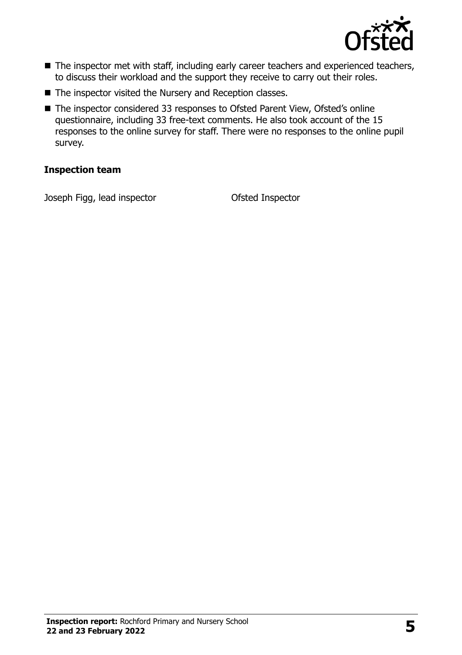

- The inspector met with staff, including early career teachers and experienced teachers, to discuss their workload and the support they receive to carry out their roles.
- The inspector visited the Nursery and Reception classes.
- The inspector considered 33 responses to Ofsted Parent View, Ofsted's online questionnaire, including 33 free-text comments. He also took account of the 15 responses to the online survey for staff. There were no responses to the online pupil survey.

#### **Inspection team**

Joseph Figg, lead inspector Ofsted Inspector